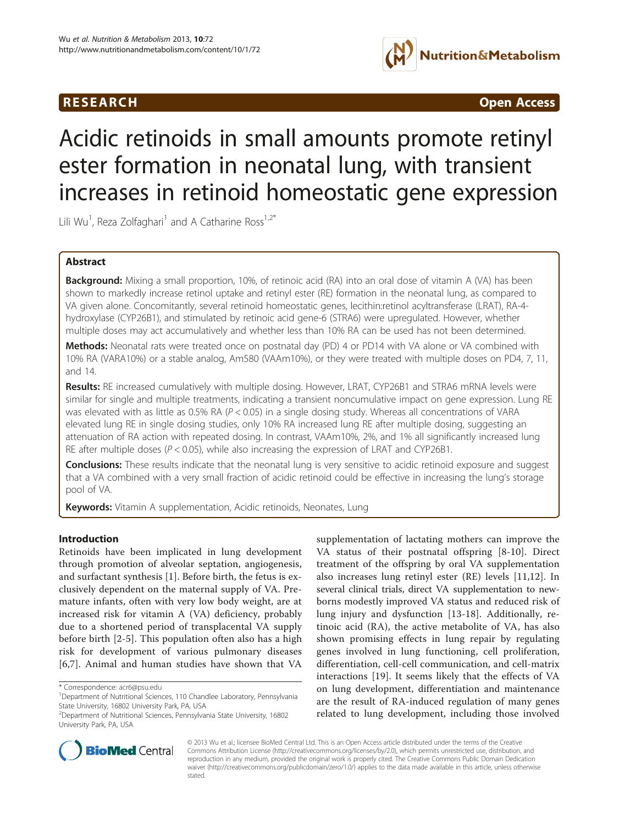## **RESEARCH CHINESEARCH CHINESEARCH CHINESE**



# Acidic retinoids in small amounts promote retinyl ester formation in neonatal lung, with transient increases in retinoid homeostatic gene expression

Lili Wu<sup>1</sup>, Reza Zolfaghari<sup>1</sup> and A Catharine Ross<sup>1,2\*</sup>

## Abstract

Background: Mixing a small proportion, 10%, of retinoic acid (RA) into an oral dose of vitamin A (VA) has been shown to markedly increase retinol uptake and retinyl ester (RE) formation in the neonatal lung, as compared to VA given alone. Concomitantly, several retinoid homeostatic genes, lecithin:retinol acyltransferase (LRAT), RA-4 hydroxylase (CYP26B1), and stimulated by retinoic acid gene-6 (STRA6) were upregulated. However, whether multiple doses may act accumulatively and whether less than 10% RA can be used has not been determined.

Methods: Neonatal rats were treated once on postnatal day (PD) 4 or PD14 with VA alone or VA combined with 10% RA (VARA10%) or a stable analog, Am580 (VAAm10%), or they were treated with multiple doses on PD4, 7, 11, and 14.

Results: RE increased cumulatively with multiple dosing. However, LRAT, CYP26B1 and STRA6 mRNA levels were similar for single and multiple treatments, indicating a transient noncumulative impact on gene expression. Lung RE was elevated with as little as 0.5% RA ( $P < 0.05$ ) in a single dosing study. Whereas all concentrations of VARA elevated lung RE in single dosing studies, only 10% RA increased lung RE after multiple dosing, suggesting an attenuation of RA action with repeated dosing. In contrast, VAAm10%, 2%, and 1% all significantly increased lung RE after multiple doses ( $P < 0.05$ ), while also increasing the expression of LRAT and CYP26B1.

**Conclusions:** These results indicate that the neonatal lung is very sensitive to acidic retinoid exposure and suggest that a VA combined with a very small fraction of acidic retinoid could be effective in increasing the lung's storage pool of VA.

Keywords: Vitamin A supplementation, Acidic retinoids, Neonates, Lung

## Introduction

Retinoids have been implicated in lung development through promotion of alveolar septation, angiogenesis, and surfactant synthesis [\[1](#page-6-0)]. Before birth, the fetus is exclusively dependent on the maternal supply of VA. Premature infants, often with very low body weight, are at increased risk for vitamin A (VA) deficiency, probably due to a shortened period of transplacental VA supply before birth [\[2](#page-6-0)[-5](#page-7-0)]. This population often also has a high risk for development of various pulmonary diseases [[6,7](#page-7-0)]. Animal and human studies have shown that VA

supplementation of lactating mothers can improve the VA status of their postnatal offspring [[8-10](#page-7-0)]. Direct treatment of the offspring by oral VA supplementation also increases lung retinyl ester (RE) levels [[11,12\]](#page-7-0). In several clinical trials, direct VA supplementation to newborns modestly improved VA status and reduced risk of lung injury and dysfunction [\[13](#page-7-0)-[18](#page-7-0)]. Additionally, retinoic acid (RA), the active metabolite of VA, has also shown promising effects in lung repair by regulating genes involved in lung functioning, cell proliferation, differentiation, cell-cell communication, and cell-matrix interactions [[19](#page-7-0)]. It seems likely that the effects of VA on lung development, differentiation and maintenance are the result of RA-induced regulation of many genes related to lung development, including those involved



© 2013 Wu et al.; licensee BioMed Central Ltd. This is an Open Access article distributed under the terms of the Creative Commons Attribution License [\(http://creativecommons.org/licenses/by/2.0\)](http://creativecommons.org/licenses/by/2.0), which permits unrestricted use, distribution, and reproduction in any medium, provided the original work is properly cited. The Creative Commons Public Domain Dedication waiver [\(http://creativecommons.org/publicdomain/zero/1.0/\)](http://creativecommons.org/publicdomain/zero/1.0/) applies to the data made available in this article, unless otherwise stated.

<sup>\*</sup> Correspondence: [acr6@psu.edu](mailto:acr6@psu.edu) <sup>1</sup>

Department of Nutritional Sciences, 110 Chandlee Laboratory, Pennsylvania State University, 16802 University Park, PA, USA

<sup>2</sup> Department of Nutritional Sciences, Pennsylvania State University, 16802 University Park, PA, USA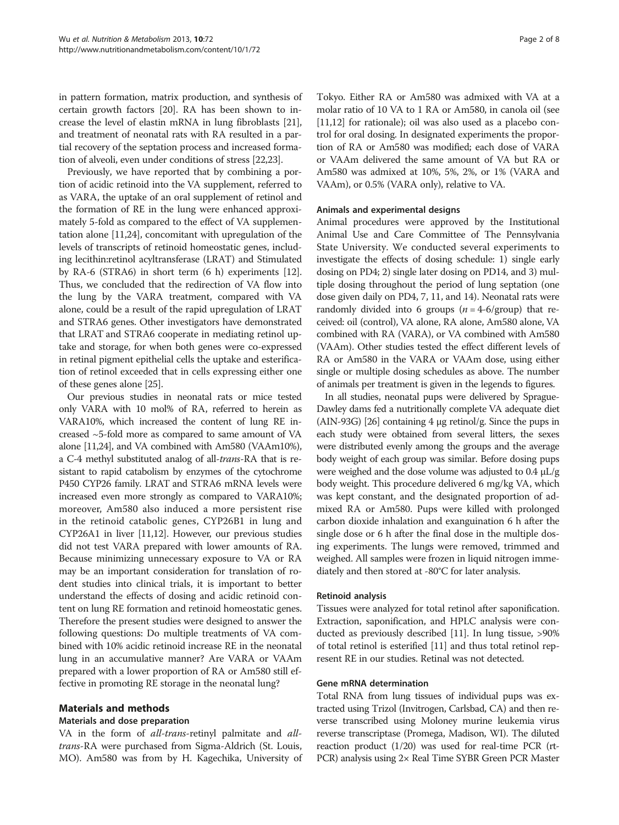<span id="page-1-0"></span>in pattern formation, matrix production, and synthesis of certain growth factors [\[20](#page-7-0)]. RA has been shown to increase the level of elastin mRNA in lung fibroblasts [[21](#page-7-0)], and treatment of neonatal rats with RA resulted in a partial recovery of the septation process and increased formation of alveoli, even under conditions of stress [[22,23](#page-7-0)].

Previously, we have reported that by combining a portion of acidic retinoid into the VA supplement, referred to as VARA, the uptake of an oral supplement of retinol and the formation of RE in the lung were enhanced approximately 5-fold as compared to the effect of VA supplementation alone [\[11,24\]](#page-7-0), concomitant with upregulation of the levels of transcripts of retinoid homeostatic genes, including lecithin:retinol acyltransferase (LRAT) and Stimulated by RA-6 (STRA6) in short term (6 h) experiments [[12](#page-7-0)]. Thus, we concluded that the redirection of VA flow into the lung by the VARA treatment, compared with VA alone, could be a result of the rapid upregulation of LRAT and STRA6 genes. Other investigators have demonstrated that LRAT and STRA6 cooperate in mediating retinol uptake and storage, for when both genes were co-expressed in retinal pigment epithelial cells the uptake and esterification of retinol exceeded that in cells expressing either one of these genes alone [\[25\]](#page-7-0).

Our previous studies in neonatal rats or mice tested only VARA with 10 mol% of RA, referred to herein as VARA10%, which increased the content of lung RE increased ~5-fold more as compared to same amount of VA alone [[11,24](#page-7-0)], and VA combined with Am580 (VAAm10%), a C-4 methyl substituted analog of all-trans-RA that is resistant to rapid catabolism by enzymes of the cytochrome P450 CYP26 family. LRAT and STRA6 mRNA levels were increased even more strongly as compared to VARA10%; moreover, Am580 also induced a more persistent rise in the retinoid catabolic genes, CYP26B1 in lung and CYP26A1 in liver [\[11,12](#page-7-0)]. However, our previous studies did not test VARA prepared with lower amounts of RA. Because minimizing unnecessary exposure to VA or RA may be an important consideration for translation of rodent studies into clinical trials, it is important to better understand the effects of dosing and acidic retinoid content on lung RE formation and retinoid homeostatic genes. Therefore the present studies were designed to answer the following questions: Do multiple treatments of VA combined with 10% acidic retinoid increase RE in the neonatal lung in an accumulative manner? Are VARA or VAAm prepared with a lower proportion of RA or Am580 still effective in promoting RE storage in the neonatal lung?

## Materials and methods

#### Materials and dose preparation

VA in the form of *all-trans-retinyl* palmitate and *all*trans-RA were purchased from Sigma-Aldrich (St. Louis, MO). Am580 was from by H. Kagechika, University of Tokyo. Either RA or Am580 was admixed with VA at a molar ratio of 10 VA to 1 RA or Am580, in canola oil (see [[11,12](#page-7-0)] for rationale); oil was also used as a placebo control for oral dosing. In designated experiments the proportion of RA or Am580 was modified; each dose of VARA or VAAm delivered the same amount of VA but RA or Am580 was admixed at 10%, 5%, 2%, or 1% (VARA and VAAm), or 0.5% (VARA only), relative to VA.

#### Animals and experimental designs

Animal procedures were approved by the Institutional Animal Use and Care Committee of The Pennsylvania State University. We conducted several experiments to investigate the effects of dosing schedule: 1) single early dosing on PD4; 2) single later dosing on PD14, and 3) multiple dosing throughout the period of lung septation (one dose given daily on PD4, 7, 11, and 14). Neonatal rats were randomly divided into 6 groups  $(n = 4-6/\text{group})$  that received: oil (control), VA alone, RA alone, Am580 alone, VA combined with RA (VARA), or VA combined with Am580 (VAAm). Other studies tested the effect different levels of RA or Am580 in the VARA or VAAm dose, using either single or multiple dosing schedules as above. The number of animals per treatment is given in the legends to figures.

In all studies, neonatal pups were delivered by Sprague-Dawley dams fed a nutritionally complete VA adequate diet (AIN-93G) [\[26\]](#page-7-0) containing 4 μg retinol/g. Since the pups in each study were obtained from several litters, the sexes were distributed evenly among the groups and the average body weight of each group was similar. Before dosing pups were weighed and the dose volume was adjusted to 0.4 μL/g body weight. This procedure delivered 6 mg/kg VA, which was kept constant, and the designated proportion of admixed RA or Am580. Pups were killed with prolonged carbon dioxide inhalation and exanguination 6 h after the single dose or 6 h after the final dose in the multiple dosing experiments. The lungs were removed, trimmed and weighed. All samples were frozen in liquid nitrogen immediately and then stored at -80°C for later analysis.

#### Retinoid analysis

Tissues were analyzed for total retinol after saponification. Extraction, saponification, and HPLC analysis were conducted as previously described [[11](#page-7-0)]. In lung tissue, >90% of total retinol is esterified [[11](#page-7-0)] and thus total retinol represent RE in our studies. Retinal was not detected.

#### Gene mRNA determination

Total RNA from lung tissues of individual pups was extracted using Trizol (Invitrogen, Carlsbad, CA) and then reverse transcribed using Moloney murine leukemia virus reverse transcriptase (Promega, Madison, WI). The diluted reaction product (1/20) was used for real-time PCR (rt-PCR) analysis using 2× Real Time SYBR Green PCR Master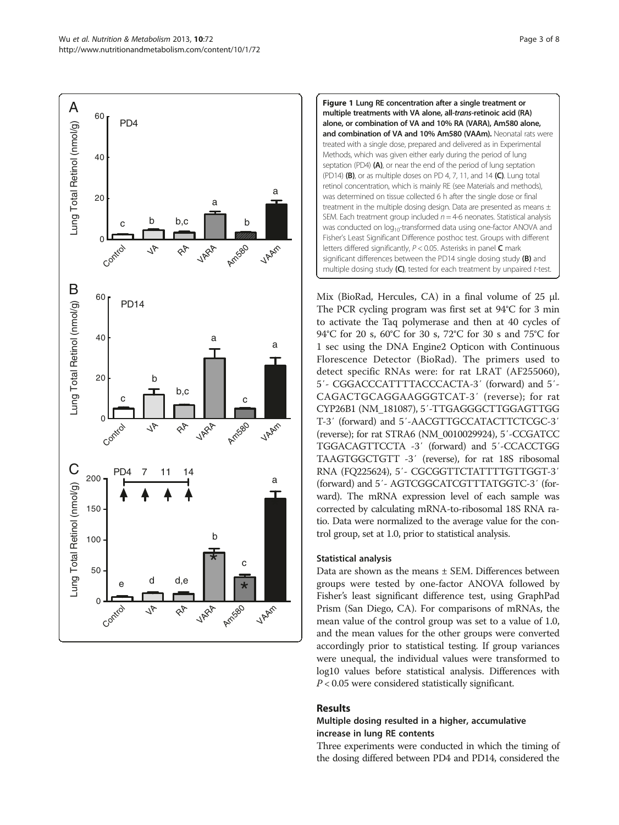<span id="page-2-0"></span>



Mix (BioRad, Hercules, CA) in a final volume of 25 μl. The PCR cycling program was first set at 94°C for 3 min to activate the Taq polymerase and then at 40 cycles of 94°C for 20 s, 60°C for 30 s, 72°C for 30 s and 75°C for 1 sec using the DNA Engine2 Opticon with Continuous Florescence Detector (BioRad). The primers used to detect specific RNAs were: for rat LRAT (AF255060), 5′- CGGACCCATTTTACCCACTA-3′ (forward) and 5′- CAGACTGCAGGAAGGGTCAT-3′ (reverse); for rat CYP26B1 (NM\_181087), 5′-TTGAGGGCTTGGAGTTGG T-3′ (forward) and 5′-AACGTTGCCATACTTCTCGC-3′ (reverse); for rat STRA6 (NM\_0010029924), 5′-CCGATCC TGGACAGTTCCTA -3′ (forward) and 5′-CCACCTGG TAAGTGGCTGTT -3′ (reverse), for rat 18S ribosomal RNA (FQ225624), 5′- CGCGGTTCTATTTTGTTGGT-3′ (forward) and 5′- AGTCGGCATCGTTTATGGTC-3′ (forward). The mRNA expression level of each sample was corrected by calculating mRNA-to-ribosomal 18S RNA ratio. Data were normalized to the average value for the control group, set at 1.0, prior to statistical analysis.

#### Statistical analysis

Data are shown as the means ± SEM. Differences between groups were tested by one-factor ANOVA followed by Fisher's least significant difference test, using GraphPad Prism (San Diego, CA). For comparisons of mRNAs, the mean value of the control group was set to a value of 1.0, and the mean values for the other groups were converted accordingly prior to statistical testing. If group variances were unequal, the individual values were transformed to log10 values before statistical analysis. Differences with  $P < 0.05$  were considered statistically significant.

## Results

## Multiple dosing resulted in a higher, accumulative increase in lung RE contents

Three experiments were conducted in which the timing of the dosing differed between PD4 and PD14, considered the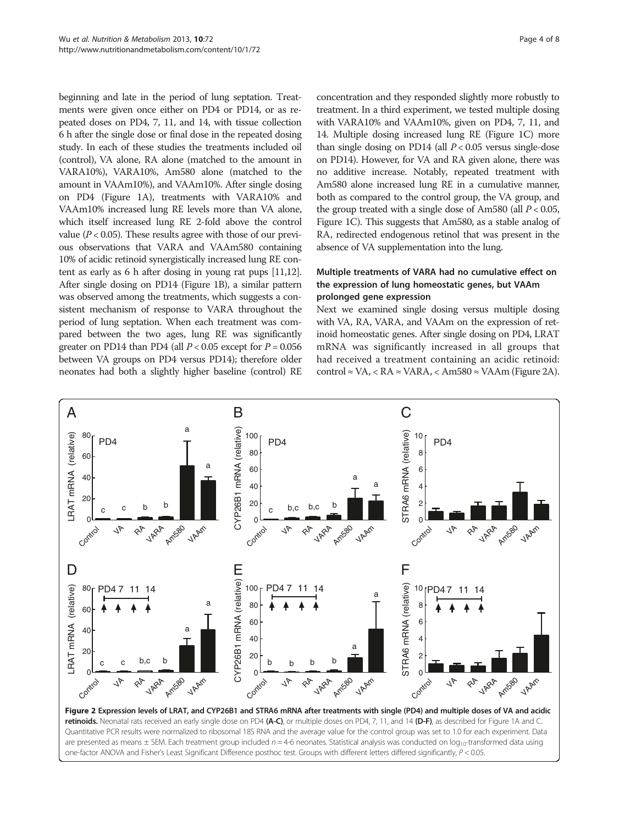<span id="page-3-0"></span>beginning and late in the period of lung septation. Treatments were given once either on PD4 or PD14, or as repeated doses on PD4, 7, 11, and 14, with tissue collection 6 h after the single dose or final dose in the repeated dosing study. In each of these studies the treatments included oil (control), VA alone, RA alone (matched to the amount in VARA10%), VARA10%, Am580 alone (matched to the amount in VAAm10%), and VAAm10%. After single dosing on PD4 (Figure [1A](#page-2-0)), treatments with VARA10% and VAAm10% increased lung RE levels more than VA alone, which itself increased lung RE 2-fold above the control value ( $P < 0.05$ ). These results agree with those of our previous observations that VARA and VAAm580 containing 10% of acidic retinoid synergistically increased lung RE content as early as 6 h after dosing in young rat pups [[11,12](#page-7-0)]. After single dosing on PD14 (Figure [1](#page-2-0)B), a similar pattern was observed among the treatments, which suggests a consistent mechanism of response to VARA throughout the period of lung septation. When each treatment was compared between the two ages, lung RE was significantly greater on PD14 than PD4 (all  $P < 0.05$  except for  $P = 0.056$ between VA groups on PD4 versus PD14); therefore older neonates had both a slightly higher baseline (control) RE concentration and they responded slightly more robustly to treatment. In a third experiment, we tested multiple dosing with VARA10% and VAAm10%, given on PD4, 7, 11, and 14. Multiple dosing increased lung RE (Figure [1C](#page-2-0)) more than single dosing on PD14 (all  $P < 0.05$  versus single-dose on PD14). However, for VA and RA given alone, there was no additive increase. Notably, repeated treatment with Am580 alone increased lung RE in a cumulative manner, both as compared to the control group, the VA group, and the group treated with a single dose of Am580 (all  $P < 0.05$ , Figure [1](#page-2-0)C). This suggests that Am580, as a stable analog of RA, redirected endogenous retinol that was present in the absence of VA supplementation into the lung.

## Multiple treatments of VARA had no cumulative effect on the expression of lung homeostatic genes, but VAAm prolonged gene expression

Next we examined single dosing versus multiple dosing with VA, RA, VARA, and VAAm on the expression of retinoid homeostatic genes. After single dosing on PD4, LRAT mRNA was significantly increased in all groups that had received a treatment containing an acidic retinoid: control ≈ VA, < RA ≈ VARA, < Am580 ≈ VAAm (Figure 2A).



Quantitative PCR results were normalized to ribosomal 18S RNA and the average value for the control group was set to 1.0 for each experiment. Data are presented as means  $\pm$  SEM. Each treatment group included  $n = 4-6$  neonates. Statistical analysis was conducted on  $log_{10}$ -transformed data using one-factor ANOVA and Fisher's Least Significant Difference posthoc test. Groups with different letters differed significantly, P < 0.05.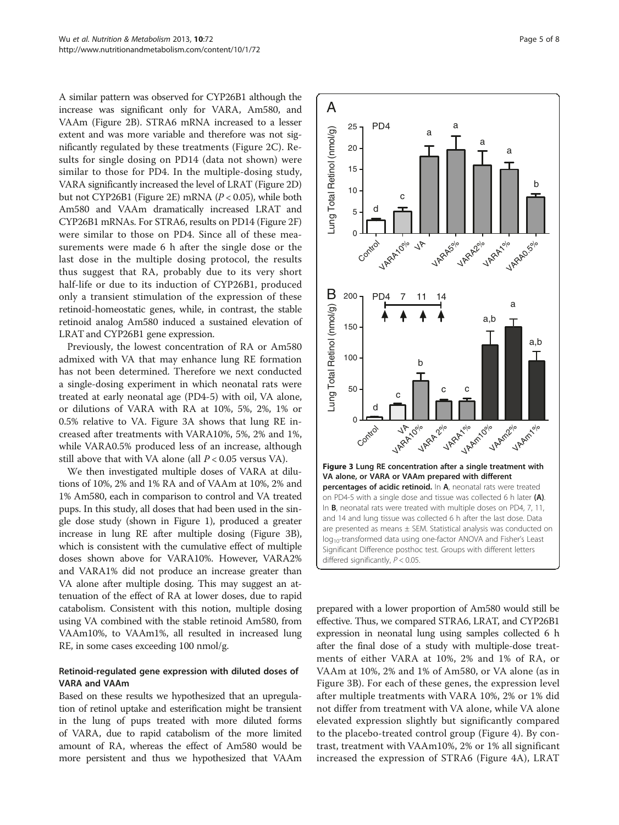<span id="page-4-0"></span>A similar pattern was observed for CYP26B1 although the increase was significant only for VARA, Am580, and VAAm (Figure [2B](#page-3-0)). STRA6 mRNA increased to a lesser extent and was more variable and therefore was not significantly regulated by these treatments (Figure [2C](#page-3-0)). Results for single dosing on PD14 (data not shown) were similar to those for PD4. In the multiple-dosing study, VARA significantly increased the level of LRAT (Figure [2](#page-3-0)D) but not CYP26B1 (Figure [2E](#page-3-0)) mRNA (P < 0.05), while both Am580 and VAAm dramatically increased LRAT and CYP26B1 mRNAs. For STRA6, results on PD14 (Figure [2](#page-3-0)F) were similar to those on PD4. Since all of these measurements were made 6 h after the single dose or the last dose in the multiple dosing protocol, the results thus suggest that RA, probably due to its very short half-life or due to its induction of CYP26B1, produced only a transient stimulation of the expression of these retinoid-homeostatic genes, while, in contrast, the stable retinoid analog Am580 induced a sustained elevation of LRAT and CYP26B1 gene expression.

Previously, the lowest concentration of RA or Am580 admixed with VA that may enhance lung RE formation has not been determined. Therefore we next conducted a single-dosing experiment in which neonatal rats were treated at early neonatal age (PD4-5) with oil, VA alone, or dilutions of VARA with RA at 10%, 5%, 2%, 1% or 0.5% relative to VA. Figure 3A shows that lung RE increased after treatments with VARA10%, 5%, 2% and 1%, while VARA0.5% produced less of an increase, although still above that with VA alone (all  $P < 0.05$  versus VA).

We then investigated multiple doses of VARA at dilutions of 10%, 2% and 1% RA and of VAAm at 10%, 2% and 1% Am580, each in comparison to control and VA treated pups. In this study, all doses that had been used in the single dose study (shown in Figure [1\)](#page-2-0), produced a greater increase in lung RE after multiple dosing (Figure 3B), which is consistent with the cumulative effect of multiple doses shown above for VARA10%. However, VARA2% and VARA1% did not produce an increase greater than VA alone after multiple dosing. This may suggest an attenuation of the effect of RA at lower doses, due to rapid catabolism. Consistent with this notion, multiple dosing using VA combined with the stable retinoid Am580, from VAAm10%, to VAAm1%, all resulted in increased lung RE, in some cases exceeding 100 nmol/g.

## Retinoid-regulated gene expression with diluted doses of VARA and VAAm

Based on these results we hypothesized that an upregulation of retinol uptake and esterification might be transient in the lung of pups treated with more diluted forms of VARA, due to rapid catabolism of the more limited amount of RA, whereas the effect of Am580 would be more persistent and thus we hypothesized that VAAm



prepared with a lower proportion of Am580 would still be effective. Thus, we compared STRA6, LRAT, and CYP26B1 expression in neonatal lung using samples collected 6 h after the final dose of a study with multiple-dose treatments of either VARA at 10%, 2% and 1% of RA, or VAAm at 10%, 2% and 1% of Am580, or VA alone (as in Figure 3B). For each of these genes, the expression level after multiple treatments with VARA 10%, 2% or 1% did not differ from treatment with VA alone, while VA alone elevated expression slightly but significantly compared to the placebo-treated control group (Figure [4\)](#page-5-0). By contrast, treatment with VAAm10%, 2% or 1% all significant increased the expression of STRA6 (Figure [4](#page-5-0)A), LRAT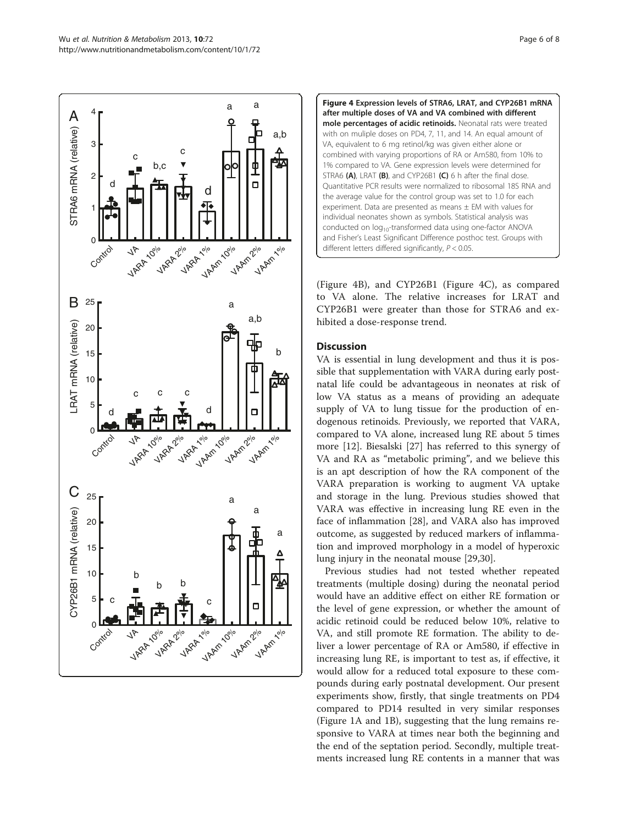<span id="page-5-0"></span>



(Figure 4B), and CYP26B1 (Figure 4C), as compared to VA alone. The relative increases for LRAT and CYP26B1 were greater than those for STRA6 and exhibited a dose-response trend.

#### **Discussion**

VA is essential in lung development and thus it is possible that supplementation with VARA during early postnatal life could be advantageous in neonates at risk of low VA status as a means of providing an adequate supply of VA to lung tissue for the production of endogenous retinoids. Previously, we reported that VARA, compared to VA alone, increased lung RE about 5 times more [\[12](#page-7-0)]. Biesalski [\[27\]](#page-7-0) has referred to this synergy of VA and RA as "metabolic priming", and we believe this is an apt description of how the RA component of the VARA preparation is working to augment VA uptake and storage in the lung. Previous studies showed that VARA was effective in increasing lung RE even in the face of inflammation [[28\]](#page-7-0), and VARA also has improved outcome, as suggested by reduced markers of inflammation and improved morphology in a model of hyperoxic lung injury in the neonatal mouse [[29,30\]](#page-7-0).

Previous studies had not tested whether repeated treatments (multiple dosing) during the neonatal period would have an additive effect on either RE formation or the level of gene expression, or whether the amount of acidic retinoid could be reduced below 10%, relative to VA, and still promote RE formation. The ability to deliver a lower percentage of RA or Am580, if effective in increasing lung RE, is important to test as, if effective, it would allow for a reduced total exposure to these compounds during early postnatal development. Our present experiments show, firstly, that single treatments on PD4 compared to PD14 resulted in very similar responses (Figure [1A](#page-2-0) and [1B](#page-2-0)), suggesting that the lung remains responsive to VARA at times near both the beginning and the end of the septation period. Secondly, multiple treatments increased lung RE contents in a manner that was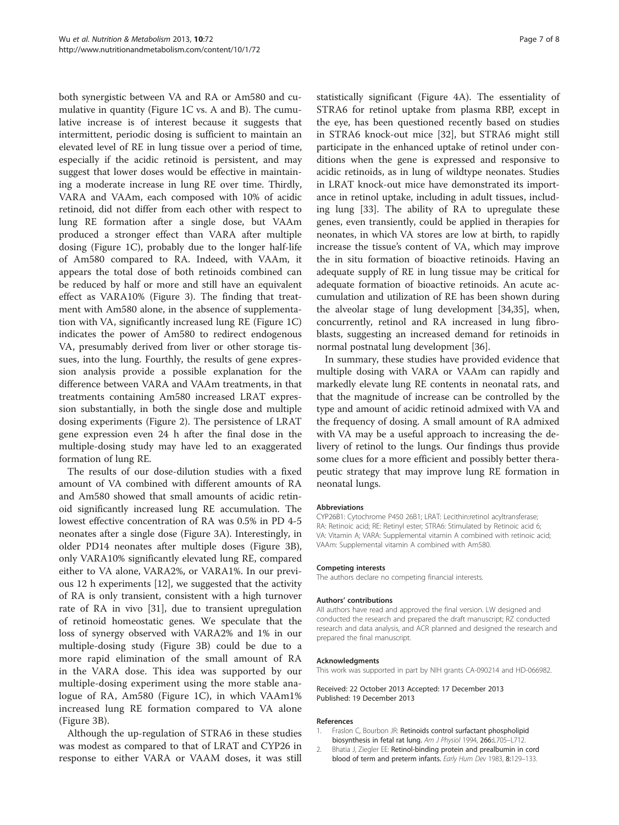<span id="page-6-0"></span>both synergistic between VA and RA or Am580 and cumulative in quantity (Figure [1](#page-2-0)C vs. A and B). The cumulative increase is of interest because it suggests that intermittent, periodic dosing is sufficient to maintain an elevated level of RE in lung tissue over a period of time, especially if the acidic retinoid is persistent, and may suggest that lower doses would be effective in maintaining a moderate increase in lung RE over time. Thirdly, VARA and VAAm, each composed with 10% of acidic retinoid, did not differ from each other with respect to lung RE formation after a single dose, but VAAm produced a stronger effect than VARA after multiple dosing (Figure [1](#page-2-0)C), probably due to the longer half-life of Am580 compared to RA. Indeed, with VAAm, it appears the total dose of both retinoids combined can be reduced by half or more and still have an equivalent effect as VARA10% (Figure [3\)](#page-4-0). The finding that treatment with Am580 alone, in the absence of supplementation with VA, significantly increased lung RE (Figure [1C](#page-2-0)) indicates the power of Am580 to redirect endogenous VA, presumably derived from liver or other storage tissues, into the lung. Fourthly, the results of gene expression analysis provide a possible explanation for the difference between VARA and VAAm treatments, in that treatments containing Am580 increased LRAT expression substantially, in both the single dose and multiple dosing experiments (Figure [2\)](#page-3-0). The persistence of LRAT gene expression even 24 h after the final dose in the multiple-dosing study may have led to an exaggerated formation of lung RE.

The results of our dose-dilution studies with a fixed amount of VA combined with different amounts of RA and Am580 showed that small amounts of acidic retinoid significantly increased lung RE accumulation. The lowest effective concentration of RA was 0.5% in PD 4-5 neonates after a single dose (Figure [3A](#page-4-0)). Interestingly, in older PD14 neonates after multiple doses (Figure [3](#page-4-0)B), only VARA10% significantly elevated lung RE, compared either to VA alone, VARA2%, or VARA1%. In our previous 12 h experiments [\[12](#page-7-0)], we suggested that the activity of RA is only transient, consistent with a high turnover rate of RA in vivo [\[31](#page-7-0)], due to transient upregulation of retinoid homeostatic genes. We speculate that the loss of synergy observed with VARA2% and 1% in our multiple-dosing study (Figure [3B](#page-4-0)) could be due to a more rapid elimination of the small amount of RA in the VARA dose. This idea was supported by our multiple-dosing experiment using the more stable analogue of RA, Am580 (Figure [1C](#page-2-0)), in which VAAm1% increased lung RE formation compared to VA alone (Figure [3B](#page-4-0)).

Although the up-regulation of STRA6 in these studies was modest as compared to that of LRAT and CYP26 in response to either VARA or VAAM doses, it was still

statistically significant (Figure [4](#page-5-0)A). The essentiality of STRA6 for retinol uptake from plasma RBP, except in the eye, has been questioned recently based on studies in STRA6 knock-out mice [\[32\]](#page-7-0), but STRA6 might still participate in the enhanced uptake of retinol under conditions when the gene is expressed and responsive to acidic retinoids, as in lung of wildtype neonates. Studies in LRAT knock-out mice have demonstrated its importance in retinol uptake, including in adult tissues, including lung [[33\]](#page-7-0). The ability of RA to upregulate these genes, even transiently, could be applied in therapies for neonates, in which VA stores are low at birth, to rapidly increase the tissue's content of VA, which may improve the in situ formation of bioactive retinoids. Having an adequate supply of RE in lung tissue may be critical for adequate formation of bioactive retinoids. An acute accumulation and utilization of RE has been shown during the alveolar stage of lung development [\[34,35\]](#page-7-0), when, concurrently, retinol and RA increased in lung fibroblasts, suggesting an increased demand for retinoids in normal postnatal lung development [[36\]](#page-7-0).

In summary, these studies have provided evidence that multiple dosing with VARA or VAAm can rapidly and markedly elevate lung RE contents in neonatal rats, and that the magnitude of increase can be controlled by the type and amount of acidic retinoid admixed with VA and the frequency of dosing. A small amount of RA admixed with VA may be a useful approach to increasing the delivery of retinol to the lungs. Our findings thus provide some clues for a more efficient and possibly better therapeutic strategy that may improve lung RE formation in neonatal lungs.

#### Abbreviations

CYP26B1: Cytochrome P450 26B1; LRAT: Lecithin:retinol acyltransferase; RA: Retinoic acid; RE: Retinyl ester; STRA6: Stimulated by Retinoic acid 6; VA: Vitamin A; VARA: Supplemental vitamin A combined with retinoic acid; VAAm: Supplemental vitamin A combined with Am580.

#### Competing interests

The authors declare no competing financial interests.

#### Authors' contributions

All authors have read and approved the final version. LW designed and conducted the research and prepared the draft manuscript; RZ conducted research and data analysis, and ACR planned and designed the research and prepared the final manuscript.

#### Acknowledgments

This work was supported in part by NIH grants CA-090214 and HD-066982.

Received: 22 October 2013 Accepted: 17 December 2013 Published: 19 December 2013

#### References

- 1. Fraslon C, Bourbon JR: Retinoids control surfactant phospholipid biosynthesis in fetal rat lung. Am J Physiol 1994, 266:L705–L712.
- 2. Bhatia J, Ziegler EE: Retinol-binding protein and prealbumin in cord blood of term and preterm infants. Early Hum Dev 1983, 8:129–133.